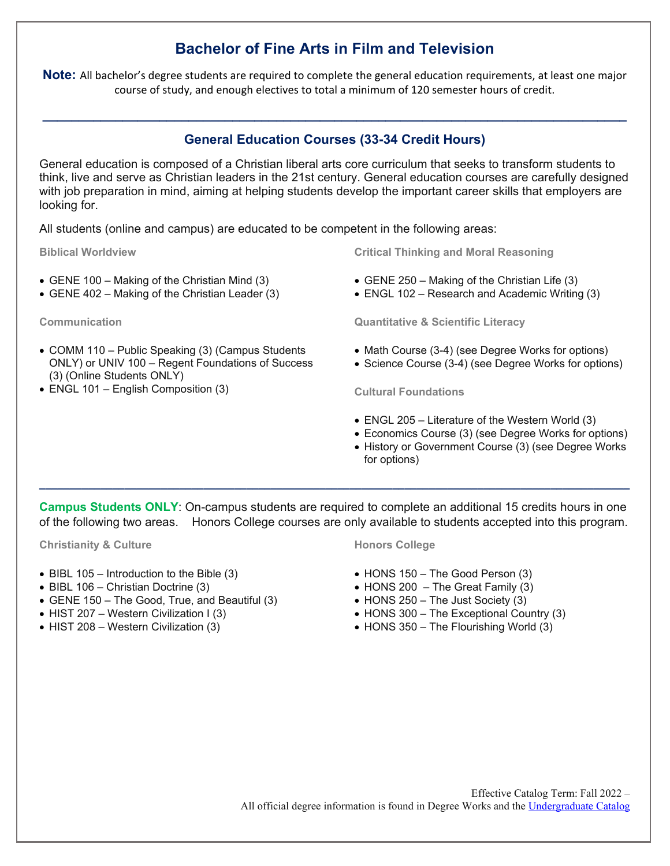# **Bachelor of Fine Arts in Film and Television**

**Note:** All bachelor's degree students are required to complete the general education requirements, at least one major course of study, and enough electives to total a minimum of 120 semester hours of credit.

## **General Education Courses (33-34 Credit Hours)**

**\_\_\_\_\_\_\_\_\_\_\_\_\_\_\_\_\_\_\_\_\_\_\_\_\_\_\_\_\_\_\_\_\_\_\_\_\_\_\_\_\_\_\_\_\_\_\_\_\_\_\_\_\_\_\_\_\_\_\_\_\_\_\_\_\_\_\_\_\_\_\_\_\_\_\_\_\_\_\_\_**

General education is composed of a Christian liberal arts core curriculum that seeks to transform students to think, live and serve as Christian leaders in the 21st century. General education courses are carefully designed with job preparation in mind, aiming at helping students develop the important career skills that employers are looking for.

All students (online and campus) are educated to be competent in the following areas:

**Biblical Worldview**

- GENE 100 Making of the Christian Mind (3)
- GENE 402 Making of the Christian Leader (3)

**Communication**

- COMM 110 Public Speaking (3) (Campus Students ONLY) or UNIV 100 – Regent Foundations of Success (3) (Online Students ONLY)
- ENGL 101 English Composition (3)

**Critical Thinking and Moral Reasoning**

- GENE 250 Making of the Christian Life (3)
- ENGL 102 Research and Academic Writing (3)

**Quantitative & Scientific Literacy**

- Math Course (3-4) (see Degree Works for options)
- Science Course (3-4) (see Degree Works for options)

**Cultural Foundations**

- ENGL 205 Literature of the Western World (3)
- Economics Course (3) (see Degree Works for options)
- History or Government Course (3) (see Degree Works for options)

**Campus Students ONLY**: On-campus students are required to complete an additional 15 credits hours in one of the following two areas. Honors College courses are only available to students accepted into this program.

**\_\_\_\_\_\_\_\_\_\_\_\_\_\_\_\_\_\_\_\_\_\_\_\_\_\_\_\_\_\_\_\_\_\_\_\_\_\_\_\_\_\_\_\_\_\_\_\_\_\_\_\_\_\_\_\_\_\_\_\_\_\_\_\_\_\_\_\_\_\_\_\_\_\_\_\_\_\_\_\_\_\_\_\_\_\_\_\_\_\_\_\_\_\_\_\_\_**

**Christianity & Culture**

- BIBL 105 Introduction to the Bible (3)
- BIBL 106 Christian Doctrine (3)
- GENE 150 The Good, True, and Beautiful (3)
- HIST 207 Western Civilization I (3)
- HIST 208 Western Civilization (3)

#### **Honors College**

- HONS 150 The Good Person (3)
- $\bullet$  HONS 200 The Great Family (3)
- HONS 250 The Just Society (3)
- HONS 300 The Exceptional Country (3)
- HONS 350 The Flourishing World (3)